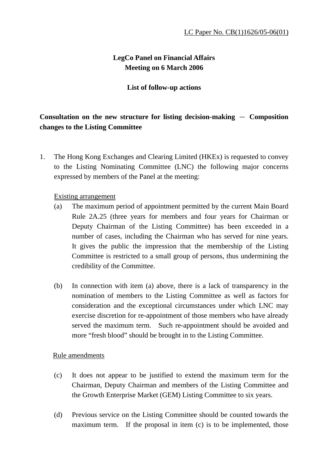## **LegCo Panel on Financial Affairs Meeting on 6 March 2006**

### **List of follow-up actions**

# **Consultation on the new structure for listing decision-making**  $-$  **Composition changes to the Listing Committee**

1. The Hong Kong Exchanges and Clearing Limited (HKEx) is requested to convey to the Listing Nominating Committee (LNC) the following major concerns expressed by members of the Panel at the meeting:

### Existing arrangement

- (a) The maximum period of appointment permitted by the current Main Board Rule 2A.25 (three years for members and four years for Chairman or Deputy Chairman of the Listing Committee) has been exceeded in a number of cases, including the Chairman who has served for nine years. It gives the public the impression that the membership of the Listing Committee is restricted to a small group of persons, thus undermining the credibility of the Committee.
- (b) In connection with item (a) above, there is a lack of transparency in the nomination of members to the Listing Committee as well as factors for consideration and the exceptional circumstances under which LNC may exercise discretion for re-appointment of those members who have already served the maximum term. Such re-appointment should be avoided and more "fresh blood" should be brought in to the Listing Committee.

### Rule amendments

- (c) It does not appear to be justified to extend the maximum term for the Chairman, Deputy Chairman and members of the Listing Committee and the Growth Enterprise Market (GEM) Listing Committee to six years.
- (d) Previous service on the Listing Committee should be counted towards the maximum term. If the proposal in item (c) is to be implemented, those